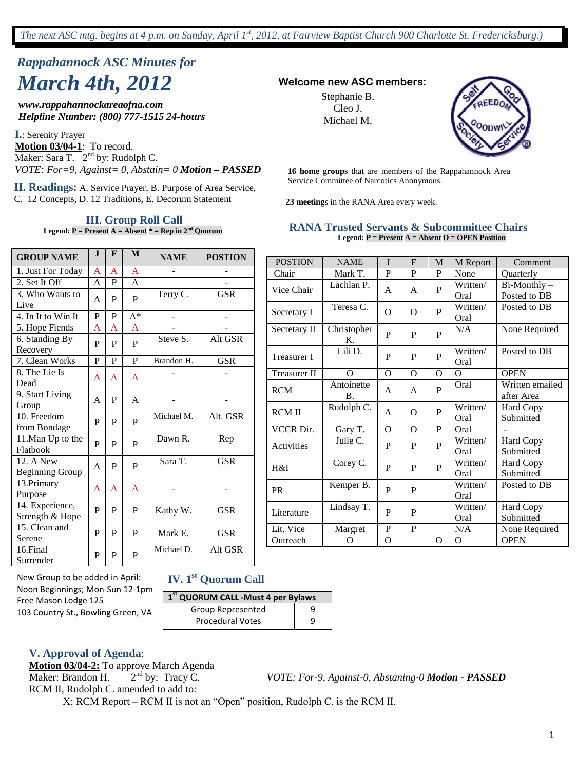# *Rappahannock ASC Minutes for March 4th, 2012* **Welcome new ASC members:**

*www.rappahannockareaofna.com Helpline Number: (800) 777-1515 24-hours*

**I.**: Serenity Prayer **Motion 03/04-1**: To record. Maker: Sara T.  $2<sup>nd</sup>$  by: Rudolph C. *VOTE: For=9, Against= 0, Abstain= 0 Motion – PASSED*

Service Committee of Narcotics Anonymous. **II. Readings:** A. Service Prayer, B. Purpose of Area Service, C. 12 Concepts, D. 12 Traditions, E. Decorum Statement

#### **III. Group Roll Call**

**Legend:**  $P =$  Present  $A =$  Absent  $* =$  Rep in  $2<sup>nd</sup>$  Quorum

Stephanie B. Cleo J. Michael M.



**16 home groups** that are members of the Rappahannock Area

**23 meeting**s in the RANA Area every week.

#### **RANA Trusted Servants & Subcommittee Chairs Legend: P = Present A = Absent O = OPEN Position**

| <b>GROUP NAME</b>                   | $\mathbf{J}$ | F | M              | <b>NAME</b> | <b>POSTION</b> |
|-------------------------------------|--------------|---|----------------|-------------|----------------|
| 1. Just For Today                   | A            | A | $\mathbf{A}$   |             |                |
| 2. Set It Off                       | A            | P | $\mathsf{A}$   |             |                |
| 3. Who Wants to<br>Live             | A            | P | P              | Terry C.    | <b>GSR</b>     |
| 4. In It to Win It                  | $\mathbf P$  | P | $A^*$          |             | ÷,             |
| 5. Hope Fiends                      | A            | A | A              |             |                |
| 6. Standing By<br>Recovery          | P            | P | P              | Steve S.    | Alt GSR        |
| 7. Clean Works                      | P            | P | $\overline{P}$ | Brandon H.  | <b>GSR</b>     |
| 8. The Lie Is<br>Dead               | A            | A | A              |             |                |
| 9. Start Living<br>Group            | A            | P | A              |             |                |
| 10. Freedom<br>from Bondage         | P            | P | P              | Michael M.  | Alt. GSR       |
| 11. Man Up to the<br>Flatbook       | P            | P | P              | Dawn R.     | Rep            |
| 12. A New<br><b>Beginning Group</b> | A            | P | P              | Sara T.     | <b>GSR</b>     |
| 13. Primary<br>Purpose              | A            | A | A              |             |                |
| 14. Experience,<br>Strength & Hope  | P            | P | P              | Kathy W.    | <b>GSR</b>     |
| 15. Clean and<br>Serene             | P            | P | P              | Mark E.     | <b>GSR</b>     |
| 16.Final<br>Surrender               | P            | P | P              | Michael D.  | Alt GSR        |

| <b>POSTION</b>      | <b>NAME</b>             | $\mathbf{I}$ | F              | M            | M Report         | Comment                       |
|---------------------|-------------------------|--------------|----------------|--------------|------------------|-------------------------------|
| Chair               | Mark T.                 | P            | P              | P            | None             | Quarterly                     |
| Vice Chair          | Lachlan P.              | A            | A              | P            | Written/<br>Oral | Bi-Monthly-<br>Posted to DB   |
| Secretary I         | Teresa C.               | $\Omega$     | $\Omega$       | P            | Written/<br>Oral | Posted to DB                  |
| Secretary II        | Christopher<br>Κ.       | P            | P              | P            | N/A              | None Required                 |
| <b>Treasurer I</b>  | Lili D.                 | P            | P              | P            | Written/<br>Oral | Posted to DB                  |
| <b>Treasurer II</b> | $\Omega$                | $\Omega$     | $\overline{O}$ | $\Omega$     | $\Omega$         | <b>OPEN</b>                   |
| <b>RCM</b>          | Antoinette<br><b>B.</b> | A            | A              | P            | Oral             | Written emailed<br>after Area |
| <b>RCMII</b>        | Rudolph C.              | A            | $\Omega$       | P            | Written/<br>Oral | <b>Hard Copy</b><br>Submitted |
| VCCR Dir.           | Gary T.                 | O            | $\Omega$       | P            | Oral             |                               |
| Activities          | Julie C.                | P            | P              | P            | Written/<br>Oral | <b>Hard Copy</b><br>Submitted |
| H&I                 | Corey C.                | P            | P              | $\mathbf{P}$ | Written/<br>Oral | <b>Hard Copy</b><br>Submitted |
| <b>PR</b>           | Kemper B.               | P            | P              |              | Written/<br>Oral | Posted to DB                  |
| Literature          | Lindsay T.              | P            | P              |              | Written/<br>Oral | Hard Copy<br>Submitted        |
| Lit. Vice           | Margret                 | P            | $\mathbf P$    |              | N/A              | None Required                 |
| Outreach            | O                       | O            |                | O            | $\Omega$         | <b>OPEN</b>                   |

New Group to be added in April: Noon Beginnings; Mon-Sun 12-1pm Free Mason Lodge 125 103 Country St., Bowling Green, VA

### **IV. 1st Quorum Call**

| 1 <sup>st</sup> QUORUM CALL -Must 4 per Bylaws |  |  |  |  |
|------------------------------------------------|--|--|--|--|
| Group Represented                              |  |  |  |  |
| <b>Procedural Votes</b>                        |  |  |  |  |

**V. Approval of Agenda**:

**Motion 03/04-2:** To approve March Agenda Maker: Brandon H.  $2<sup>nd</sup>$  by: Tracy C. RCM II, Rudolph C. amended to add to:

VOTE: For-9, Against-0, Abstaning-0 **Motion - PASSED** 

X: RCM Report – RCM II is not an "Open" position, Rudolph C. is the RCM II.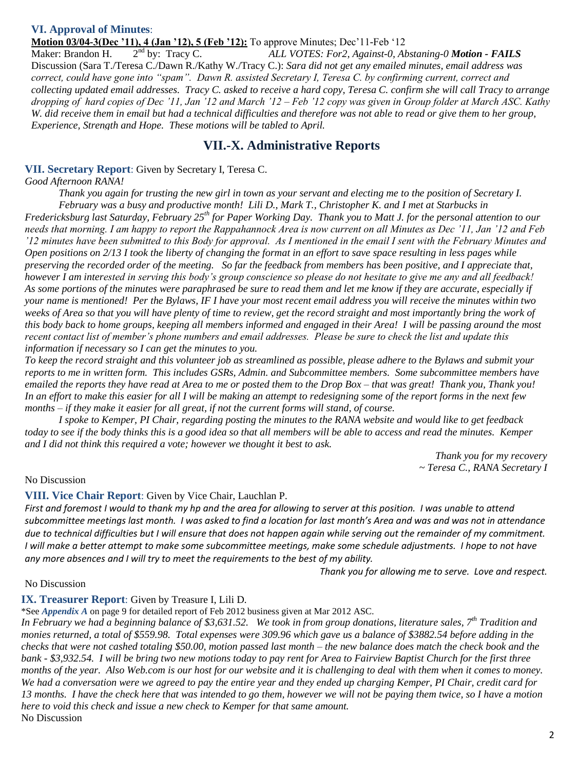### **VI. Approval of Minutes**:

#### **Motion 03/04-3(Dec '11), 4 (Jan '12), 5 (Feb '12):** To approve Minutes; Dec '11-Feb '12

Maker: Brandon H.  $2<sup>nd</sup>$  by: Tracy C. nd by: Tracy C. *ALL VOTES: For2, Against-0, Abstaning-0 Motion - FAILS* Discussion (Sara T./Teresa C./Dawn R./Kathy W./Tracy C.): *Sara did not get any emailed minutes, email address was correct, could have gone into "spam". Dawn R. assisted Secretary I, Teresa C. by confirming current, correct and collecting updated email addresses. Tracy C. asked to receive a hard copy, Teresa C. confirm she will call Tracy to arrange dropping of hard copies of Dec "11, Jan "12 and March "12 – Feb "12 copy was given in Group folder at March ASC. Kathy W. did receive them in email but had a technical difficulties and therefore was not able to read or give them to her group, Experience, Strength and Hope. These motions will be tabled to April.*

### **VII.-X. Administrative Reports**

#### **VII. Secretary Report**: Given by Secretary I, Teresa C.

*Good Afternoon RANA!*

*Thank you again for trusting the new girl in town as your servant and electing me to the position of Secretary I.* 

*February was a busy and productive month! Lili D., Mark T., Christopher K. and I met at Starbucks in Fredericksburg last Saturday, February 25th for Paper Working Day. Thank you to Matt J. for the personal attention to our needs that morning. I am happy to report the Rappahannock Area is now current on all Minutes as Dec "11, Jan "12 and Feb "12 minutes have been submitted to this Body for approval. As I mentioned in the email I sent with the February Minutes and Open positions on 2/13 I took the liberty of changing the format in an effort to save space resulting in less pages while preserving the recorded order of the meeting. So far the feedback from members has been positive, and I appreciate that, however I am interested in serving this body"s group conscience so please do not hesitate to give me any and all feedback! As some portions of the minutes were paraphrased be sure to read them and let me know if they are accurate, especially if your name is mentioned! Per the Bylaws, IF I have your most recent email address you will receive the minutes within two weeks of Area so that you will have plenty of time to review, get the record straight and most importantly bring the work of this body back to home groups, keeping all members informed and engaged in their Area! I will be passing around the most recent contact list of member"s phone numbers and email addresses. Please be sure to check the list and update this information if necessary so I can get the minutes to you.* 

*To keep the record straight and this volunteer job as streamlined as possible, please adhere to the Bylaws and submit your reports to me in written form. This includes GSRs, Admin. and Subcommittee members. Some subcommittee members have emailed the reports they have read at Area to me or posted them to the Drop Box – that was great! Thank you, Thank you! In an effort to make this easier for all I will be making an attempt to redesigning some of the report forms in the next few months – if they make it easier for all great, if not the current forms will stand, of course.*

*I spoke to Kemper, PI Chair, regarding posting the minutes to the RANA website and would like to get feedback today to see if the body thinks this is a good idea so that all members will be able to access and read the minutes. Kemper and I did not think this required a vote; however we thought it best to ask.* 

> *Thank you for my recovery ~ Teresa C., RANA Secretary I*

#### No Discussion

#### **VIII. Vice Chair Report**: Given by Vice Chair, Lauchlan P.

*First and foremost I would to thank my hp and the area for allowing to server at this position. I was unable to attend subcommittee meetings last month. I was asked to find a location for last month's Area and was and was not in attendance due to technical difficulties but I will ensure that does not happen again while serving out the remainder of my commitment. I will make a better attempt to make some subcommittee meetings, make some schedule adjustments. I hope to not have any more absences and I will try to meet the requirements to the best of my ability.* 

*Thank you for allowing me to serve. Love and respect.*

#### No Discussion

### **IX. Treasurer Report**: Given by Treasure I, Lili D.

\*See *Appendix A* on page 9 for detailed report of Feb 2012 business given at Mar 2012 ASC.

*In February we had a beginning balance of \$3,631.52. We took in from group donations, literature sales, 7th Tradition and monies returned, a total of \$559.98. Total expenses were 309.96 which gave us a balance of \$3882.54 before adding in the checks that were not cashed totaling \$50.00, motion passed last month – the new balance does match the check book and the bank - \$3,932.54. I will be bring two new motions today to pay rent for Area to Fairview Baptist Church for the first three months of the year. Also Web.com is our host for our website and it is challenging to deal with them when it comes to money. We had a conversation were we agreed to pay the entire year and they ended up charging Kemper, PI Chair, credit card for 13 months. I have the check here that was intended to go them, however we will not be paying them twice, so I have a motion here to void this check and issue a new check to Kemper for that same amount.* No Discussion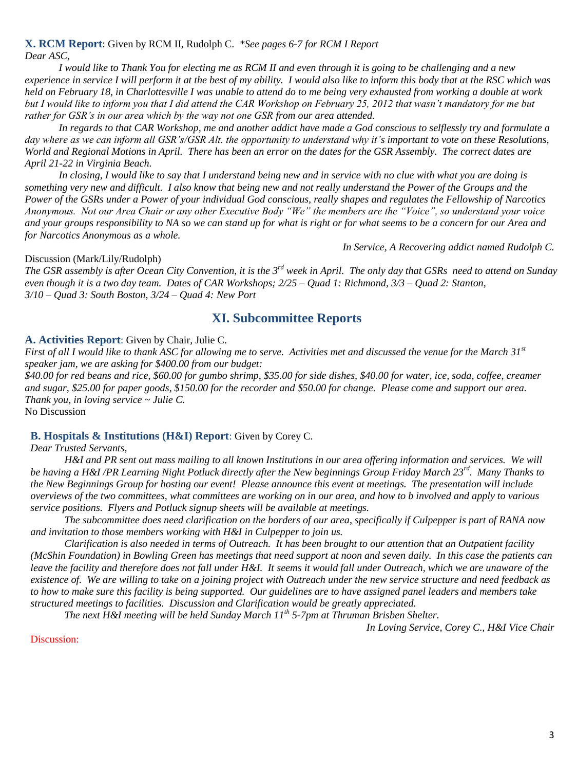#### **X. RCM Report**: Given by RCM II, Rudolph C. *\*See pages 6-7 for RCM I Report Dear ASC,*

*I would like to Thank You for electing me as RCM II and even through it is going to be challenging and a new experience in service I will perform it at the best of my ability. I would also like to inform this body that at the RSC which was held on February 18, in Charlottesville I was unable to attend do to me being very exhausted from working a double at work but I would like to inform you that I did attend the CAR Workshop on February 25, 2012 that wasn"t mandatory for me but rather for GSR"s in our area which by the way not one GSR from our area attended.*

*In regards to that CAR Workshop, me and another addict have made a God conscious to selflessly try and formulate a*  day where as we can inform all GSR's/GSR Alt. the opportunity to understand why it's important to vote on these Resolutions, *World and Regional Motions in April. There has been an error on the dates for the GSR Assembly. The correct dates are April 21-22 in Virginia Beach.*

*In closing, I would like to say that I understand being new and in service with no clue with what you are doing is something very new and difficult. I also know that being new and not really understand the Power of the Groups and the Power of the GSRs under a Power of your individual God conscious, really shapes and regulates the Fellowship of Narcotics Anonymous. Not our Area Chair or any other Executive Body "We" the members are the "Voice", so understand your voice and your groups responsibility to NA so we can stand up for what is right or for what seems to be a concern for our Area and for Narcotics Anonymous as a whole.*

*In Service, A Recovering addict named Rudolph C.*

#### Discussion (Mark/Lily/Rudolph)

*The GSR assembly is after Ocean City Convention, it is the 3rd week in April. The only day that GSRs need to attend on Sunday even though it is a two day team. Dates of CAR Workshops; 2/25 – Quad 1: Richmond, 3/3 – Quad 2: Stanton, 3/10 – Quad 3: South Boston, 3/24 – Quad 4: New Port*

### **XI. Subcommittee Reports**

#### **A. Activities Report**: Given by Chair, Julie C.

*First of all I would like to thank ASC for allowing me to serve. Activities met and discussed the venue for the March 31st speaker jam, we are asking for \$400.00 from our budget:*

*\$40.00 for red beans and rice, \$60.00 for gumbo shrimp, \$35.00 for side dishes, \$40.00 for water, ice, soda, coffee, creamer and sugar, \$25.00 for paper goods, \$150.00 for the recorder and \$50.00 for change. Please come and support our area. Thank you, in loving service ~ Julie C.*

No Discussion

#### **B. Hospitals & Institutions (H&I) Report**: Given by Corey C.

#### *Dear Trusted Servants,*

*H&I and PR sent out mass mailing to all known Institutions in our area offering information and services. We will be having a H&I /PR Learning Night Potluck directly after the New beginnings Group Friday March 23rd. Many Thanks to the New Beginnings Group for hosting our event! Please announce this event at meetings. The presentation will include overviews of the two committees, what committees are working on in our area, and how to b involved and apply to various service positions. Flyers and Potluck signup sheets will be available at meetings.*

*The subcommittee does need clarification on the borders of our area, specifically if Culpepper is part of RANA now and invitation to those members working with H&I in Culpepper to join us.*

*Clarification is also needed in terms of Outreach. It has been brought to our attention that an Outpatient facility (McShin Foundation) in Bowling Green has meetings that need support at noon and seven daily. In this case the patients can leave the facility and therefore does not fall under H&I. It seems it would fall under Outreach, which we are unaware of the existence of. We are willing to take on a joining project with Outreach under the new service structure and need feedback as to how to make sure this facility is being supported. Our guidelines are to have assigned panel leaders and members take structured meetings to facilities. Discussion and Clarification would be greatly appreciated.*

*The next H&I meeting will be held Sunday March 11th 5-7pm at Thruman Brisben Shelter.*

*In Loving Service, Corey C., H&I Vice Chair*

#### Discussion: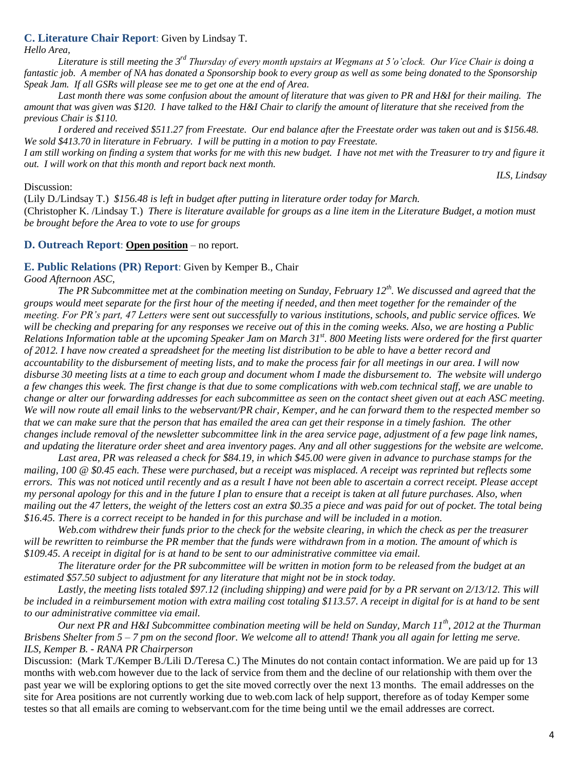#### **C. Literature Chair Report**: Given by Lindsay T.

*Hello Area,*

Literature is still meeting the 3<sup>rd</sup> Thursday of every month upstairs at Wegmans at 5'o'clock. Our Vice Chair is doing a *fantastic job. A member of NA has donated a Sponsorship book to every group as well as some being donated to the Sponsorship Speak Jam. If all GSRs will please see me to get one at the end of Area.* 

*Last month there was some confusion about the amount of literature that was given to PR and H&I for their mailing. The amount that was given was \$120. I have talked to the H&I Chair to clarify the amount of literature that she received from the previous Chair is \$110.*

*I ordered and received \$511.27 from Freestate. Our end balance after the Freestate order was taken out and is \$156.48. We sold \$413.70 in literature in February. I will be putting in a motion to pay Freestate.* 

*I am still working on finding a system that works for me with this new budget. I have not met with the Treasurer to try and figure it out. I will work on that this month and report back next month.* 

*ILS, Lindsay*

#### Discussion:

(Lily D./Lindsay T.) *\$156.48 is left in budget after putting in literature order today for March.* (Christopher K. /Lindsay T.) *There is literature available for groups as a line item in the Literature Budget, a motion must be brought before the Area to vote to use for groups*

#### **D. Outreach Report**: **Open position** – no report.

#### **E. Public Relations (PR) Report**: Given by Kemper B., Chair

*Good Afternoon ASC,*

*The PR Subcommittee met at the combination meeting on Sunday, February 12th. We discussed and agreed that the groups would meet separate for the first hour of the meeting if needed, and then meet together for the remainder of the meeting. For PR"s part, 47 Letters were sent out successfully to various institutions, schools, and public service offices. We will be checking and preparing for any responses we receive out of this in the coming weeks. Also, we are hosting a Public Relations Information table at the upcoming Speaker Jam on March 31st. 800 Meeting lists were ordered for the first quarter of 2012. I have now created a spreadsheet for the meeting list distribution to be able to have a better record and accountability to the disbursement of meeting lists, and to make the process fair for all meetings in our area. I will now disburse 30 meeting lists at a time to each group and document whom I made the disbursement to. The website will undergo a few changes this week. The first change is that due to some complications with web.com technical staff, we are unable to change or alter our forwarding addresses for each subcommittee as seen on the contact sheet given out at each ASC meeting. We will now route all email links to the webservant/PR chair, Kemper, and he can forward them to the respected member so that we can make sure that the person that has emailed the area can get their response in a timely fashion. The other changes include removal of the newsletter subcommittee link in the area service page, adjustment of a few page link names, and updating the literature order sheet and area inventory pages. Any and all other suggestions for the website are welcome.*

Last area, PR was released a check for \$84.19, in which \$45.00 were given in advance to purchase stamps for the *mailing, 100 @ \$0.45 each. These were purchased, but a receipt was misplaced. A receipt was reprinted but reflects some errors. This was not noticed until recently and as a result I have not been able to ascertain a correct receipt. Please accept my personal apology for this and in the future I plan to ensure that a receipt is taken at all future purchases. Also, when mailing out the 47 letters, the weight of the letters cost an extra \$0.35 a piece and was paid for out of pocket. The total being \$16.45. There is a correct receipt to be handed in for this purchase and will be included in a motion.*

*Web.com withdrew their funds prior to the check for the website clearing, in which the check as per the treasurer will be rewritten to reimburse the PR member that the funds were withdrawn from in a motion. The amount of which is \$109.45. A receipt in digital for is at hand to be sent to our administrative committee via email.*

*The literature order for the PR subcommittee will be written in motion form to be released from the budget at an estimated \$57.50 subject to adjustment for any literature that might not be in stock today.*

*Lastly, the meeting lists totaled \$97.12 (including shipping) and were paid for by a PR servant on 2/13/12. This will be included in a reimbursement motion with extra mailing cost totaling \$113.57. A receipt in digital for is at hand to be sent to our administrative committee via email.*

*Our next PR and H&I Subcommittee combination meeting will be held on Sunday, March 11th, 2012 at the Thurman Brisbens Shelter from 5 – 7 pm on the second floor. We welcome all to attend! Thank you all again for letting me serve. ILS, Kemper B. - RANA PR Chairperson*

Discussion: (Mark T./Kemper B./Lili D./Teresa C.) The Minutes do not contain contact information. We are paid up for 13 months with web.com however due to the lack of service from them and the decline of our relationship with them over the past year we will be exploring options to get the site moved correctly over the next 13 months. The email addresses on the site for Area positions are not currently working due to web.com lack of help support, therefore as of today Kemper some testes so that all emails are coming to webservant.com for the time being until we the email addresses are correct.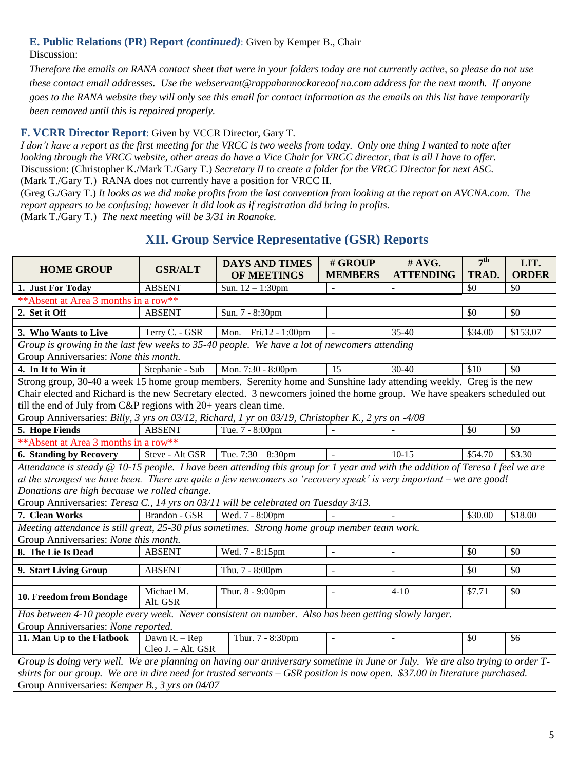#### **E. Public Relations (PR) Report** *(continued)*: Given by Kemper B., Chair Discussion:

*Therefore the emails on RANA contact sheet that were in your folders today are not currently active, so please do not use these contact email addresses. Use the webservant@rappahannockareaof na.com address for the next month. If anyone goes to the RANA website they will only see this email for contact information as the emails on this list have temporarily been removed until this is repaired properly.*

### **F. VCRR Director Report**: Given by VCCR Director, Gary T.

*I don"t have a report as the first meeting for the VRCC is two weeks from today. Only one thing I wanted to note after looking through the VRCC website, other areas do have a Vice Chair for VRCC director, that is all I have to offer.* Discussion: (Christopher K./Mark T./Gary T.) *Secretary II to create a folder for the VRCC Director for next ASC.* (Mark T./Gary T.) RANA does not currently have a position for VRCC II.

(Greg G./Gary T.) *It looks as we did make profits from the last convention from looking at the report on AVCNA.com. The report appears to be confusing; however it did look as if registration did bring in profits.*  (Mark T./Gary T.) *The next meeting will be 3/31 in Roanoke.*

## **XII. Group Service Representative (GSR) Reports**

| <b>HOME GROUP</b>                                                                                                              | <b>GSR/ALT</b>                      | <b>DAYS AND TIMES</b>  | # GROUP                  | #AVG.                    | 7 <sup>th</sup> | LIT.         |  |
|--------------------------------------------------------------------------------------------------------------------------------|-------------------------------------|------------------------|--------------------------|--------------------------|-----------------|--------------|--|
|                                                                                                                                |                                     | OF MEETINGS            | <b>MEMBERS</b>           | <b>ATTENDING</b>         | TRAD.           | <b>ORDER</b> |  |
| 1. Just For Today                                                                                                              | <b>ABSENT</b>                       | Sun. $12 - 1:30$ pm    | $\equiv$                 |                          | \$0             | \$0          |  |
| ** Absent at Area 3 months in a row**                                                                                          |                                     |                        |                          |                          |                 |              |  |
| 2. Set it Off                                                                                                                  | <b>ABSENT</b>                       | Sun. 7 - 8:30pm        |                          |                          | \$0             | \$0          |  |
| 3. Who Wants to Live                                                                                                           | Terry C. - GSR                      | Mon. - Fri.12 - 1:00pm |                          | $35-40$                  | \$34.00         | \$153.07     |  |
| Group is growing in the last few weeks to 35-40 people. We have a lot of newcomers attending                                   |                                     |                        |                          |                          |                 |              |  |
| Group Anniversaries: None this month.                                                                                          |                                     |                        |                          |                          |                 |              |  |
| 4. In It to Win it                                                                                                             | Stephanie - Sub                     | Mon. 7:30 - 8:00pm     | 15                       | $30 - 40$                | \$10            | \$0          |  |
| Strong group, 30-40 a week 15 home group members. Serenity home and Sunshine lady attending weekly. Greg is the new            |                                     |                        |                          |                          |                 |              |  |
| Chair elected and Richard is the new Secretary elected. 3 newcomers joined the home group. We have speakers scheduled out      |                                     |                        |                          |                          |                 |              |  |
| till the end of July from C&P regions with 20+ years clean time.                                                               |                                     |                        |                          |                          |                 |              |  |
| Group Anniversaries: Billy, 3 yrs on 03/12, Richard, 1 yr on 03/19, Christopher K., 2 yrs on -4/08                             |                                     |                        |                          |                          |                 |              |  |
| 5. Hope Fiends                                                                                                                 | <b>ABSENT</b>                       | Tue. 7 - 8:00pm        |                          |                          | \$0             | \$0          |  |
| ** Absent at Area 3 months in a row**                                                                                          |                                     |                        |                          |                          |                 |              |  |
| 6. Standing by Recovery                                                                                                        | Steve - Alt GSR                     | Tue. $7:30 - 8:30$ pm  |                          | $10-15$                  | \$54.70         | \$3.30       |  |
| Attendance is steady @ 10-15 people. I have been attending this group for 1 year and with the addition of Teresa I feel we are |                                     |                        |                          |                          |                 |              |  |
| at the strongest we have been. There are quite a few newcomers so 'recovery speak' is very important – we are good!            |                                     |                        |                          |                          |                 |              |  |
| Donations are high because we rolled change.                                                                                   |                                     |                        |                          |                          |                 |              |  |
| Group Anniversaries: Teresa C., 14 yrs on 03/11 will be celebrated on Tuesday 3/13.                                            |                                     |                        |                          |                          |                 |              |  |
| 7. Clean Works                                                                                                                 | Brandon - GSR                       | Wed. 7 - 8:00pm        |                          |                          | \$30.00         | \$18.00      |  |
| Meeting attendance is still great, 25-30 plus sometimes. Strong home group member team work.                                   |                                     |                        |                          |                          |                 |              |  |
| Group Anniversaries: None this month.                                                                                          |                                     |                        |                          |                          |                 |              |  |
| 8. The Lie Is Dead                                                                                                             | <b>ABSENT</b>                       | Wed. 7 - 8:15pm        | $\overline{\phantom{a}}$ | $\overline{\phantom{a}}$ | \$0             | \$0          |  |
| 9. Start Living Group                                                                                                          | <b>ABSENT</b>                       | Thu. 7 - 8:00pm        | $\overline{\phantom{a}}$ | $\overline{a}$           | \$0             | \$0          |  |
|                                                                                                                                |                                     |                        |                          |                          |                 |              |  |
| 10. Freedom from Bondage                                                                                                       | Michael M. -<br>Alt. GSR            | Thur. 8 - 9:00pm       | $\blacksquare$           | $4 - 10$                 | \$7.71          | \$0          |  |
| Has between 4-10 people every week. Never consistent on number. Also has been getting slowly larger.                           |                                     |                        |                          |                          |                 |              |  |
| Group Anniversaries: None reported.                                                                                            |                                     |                        |                          |                          |                 |              |  |
| 11. Man Up to the Flatbook                                                                                                     | Dawn R. - Rep<br>Cleo J. - Alt. GSR | Thur. 7 - 8:30pm       | $\blacksquare$           | ÷,                       | \$0             | \$6          |  |
| Group is doing very well. We are planning on having our anniversary sometime in June or July. We are also trying to order T-   |                                     |                        |                          |                          |                 |              |  |
| shirts for our group. We are in dire need for trusted servants $-$ GSR position is now open. \$37.00 in literature purchased.  |                                     |                        |                          |                          |                 |              |  |
| Group Anniversaries: Kemper B., 3 yrs on 04/07                                                                                 |                                     |                        |                          |                          |                 |              |  |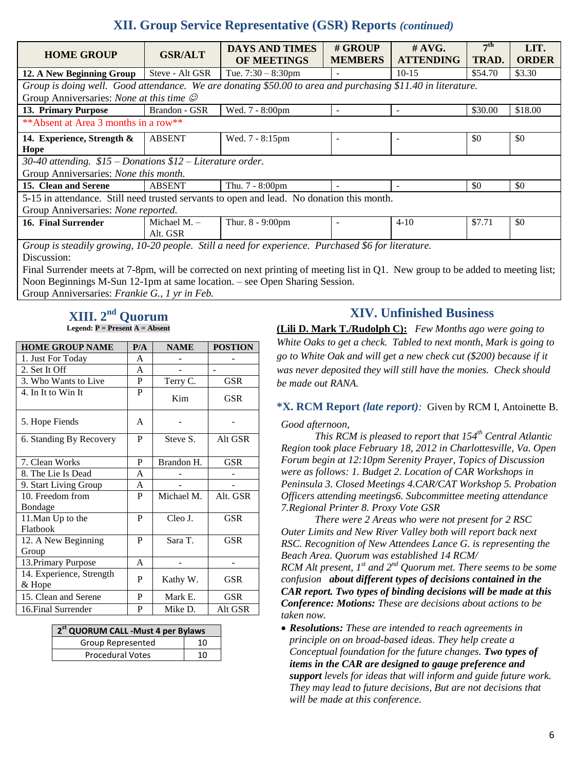# **XII. Group Service Representative (GSR) Reports** *(continued)*

| <b>HOME GROUP</b>                                                                                           | <b>GSR/ALT</b>             | <b>DAYS AND TIMES</b><br>OF MEETINGS | # GROUP<br><b>MEMBERS</b> | $\#$ AVG.<br><b>ATTENDING</b> | 7 <sup>th</sup><br>TRAD. | LIT.<br><b>ORDER</b> |  |
|-------------------------------------------------------------------------------------------------------------|----------------------------|--------------------------------------|---------------------------|-------------------------------|--------------------------|----------------------|--|
| 12. A New Beginning Group                                                                                   | Steve - Alt GSR            | Tue. $7:30 - 8:30$ pm                |                           | $10-15$                       | \$54.70                  | \$3.30               |  |
| Group is doing well. Good attendance. We are donating \$50.00 to area and purchasing \$11.40 in literature. |                            |                                      |                           |                               |                          |                      |  |
| Group Anniversaries: None at this time $\mathcal O$                                                         |                            |                                      |                           |                               |                          |                      |  |
| 13. Primary Purpose                                                                                         | Brandon - GSR              | Wed. 7 - 8:00pm                      | ۰                         | $\blacksquare$                | \$30.00                  | \$18.00              |  |
| ** Absent at Area 3 months in a row**                                                                       |                            |                                      |                           |                               |                          |                      |  |
| 14. Experience, Strength &                                                                                  | <b>ABSENT</b>              | Wed. 7 - 8:15pm                      |                           |                               | \$0                      | \$0                  |  |
| Hope                                                                                                        |                            |                                      |                           |                               |                          |                      |  |
| 30-40 attending. $$15$ - Donations $$12$ - Literature order.                                                |                            |                                      |                           |                               |                          |                      |  |
| Group Anniversaries: None this month.                                                                       |                            |                                      |                           |                               |                          |                      |  |
| 15. Clean and Serene                                                                                        | <b>ABSENT</b>              | Thu. 7 - 8:00pm                      |                           |                               | \$0                      | \$0                  |  |
| 5-15 in attendance. Still need trusted servants to open and lead. No donation this month.                   |                            |                                      |                           |                               |                          |                      |  |
| Group Anniversaries: None reported.                                                                         |                            |                                      |                           |                               |                          |                      |  |
| 16. Final Surrender                                                                                         | Michael M. $-$<br>Alt. GSR | Thur. 8 - 9:00pm                     |                           | $4 - 10$                      | \$7.71                   | \$0                  |  |
| Group is steadily growing, 10-20 people. Still a need for experience. Purchased \$6 for literature.         |                            |                                      |                           |                               |                          |                      |  |

Discussion:

Final Surrender meets at 7-8pm, will be corrected on next printing of meeting list in O1. New group to be added to meeting list; Noon Beginnings M-Sun 12-1pm at same location. – see Open Sharing Session.

Group Anniversaries: *Frankie G., 1 yr in Feb.*

#### $\bold {XIII.~2}^{\bold {nd}}$  Quorum **Legend: P = Present A = Absent**

| <b>HOME GROUP NAME</b>             | P/A | <b>NAME</b> | <b>POSTION</b> |
|------------------------------------|-----|-------------|----------------|
| 1. Just For Today                  | A   |             |                |
| 2. Set It Off                      | A   |             |                |
| 3. Who Wants to Live               | P   | Terry C.    | <b>GSR</b>     |
| 4. In It to Win It                 | P   | Kim         | GSR            |
| 5. Hope Fiends                     | A   |             |                |
| 6. Standing By Recovery            | P   | Steve S.    | Alt GSR        |
| 7. Clean Works                     | P   | Brandon H.  | <b>GSR</b>     |
| 8. The Lie Is Dead                 | A   |             |                |
| 9. Start Living Group              | A   |             |                |
| 10. Freedom from                   | P   | Michael M.  | Alt. GSR       |
| Bondage                            |     |             |                |
| 11. Man Up to the<br>Flatbook      | P   | Cleo J.     | <b>GSR</b>     |
| 12. A New Beginning                | P   | Sara T.     | <b>GSR</b>     |
| Group                              |     |             |                |
| 13. Primary Purpose                | A   |             |                |
| 14. Experience, Strength<br>& Hope | P   | Kathy W.    | GSR            |
| 15. Clean and Serene               | P   | Mark E.     | GSR            |
| 16. Final Surrender                | P   | Mike D.     | Alt GSR        |

| 2 <sup>st</sup> QUORUM CALL -Must 4 per Bylaws |    |  |  |  |
|------------------------------------------------|----|--|--|--|
| Group Represented                              | 10 |  |  |  |
| <b>Procedural Votes</b>                        | 10 |  |  |  |

### **XIV. Unfinished Business**

**(Lili D. Mark T./Rudolph C):** *Few Months ago were going to White Oaks to get a check. Tabled to next month, Mark is going to go to White Oak and will get a new check cut (\$200) because if it was never deposited they will still have the monies. Check should be made out RANA.*

### **\*X. RCM Report** *(late report):* Given by RCM I, Antoinette B.

*Good afternoon,*

*This RCM is pleased to report that 154th Central Atlantic Region took place February 18, 2012 in Charlottesville, Va. Open Forum begin at 12:10pm Serenity Prayer, Topics of Discussion were as follows: 1. Budget 2. Location of CAR Workshops in Peninsula 3. Closed Meetings 4.CAR/CAT Workshop 5. Probation Officers attending meetings6. Subcommittee meeting attendance 7.Regional Printer 8. Proxy Vote GSR* 

*There were 2 Areas who were not present for 2 RSC Outer Limits and New River Valley both will report back next RSC. Recognition of New Attendees Lance G. is representing the Beach Area. Quorum was established 14 RCM/ RCM Alt present, 1st and 2nd Quorum met. There seems to be some confusion about different types of decisions contained in the CAR report. Two types of binding decisions will be made at this Conference: Motions: These are decisions about actions to be taken now.*

 *Resolutions: These are intended to reach agreements in principle on on broad-based ideas. They help create a Conceptual foundation for the future changes. Two types of items in the CAR are designed to gauge preference and support levels for ideas that will inform and guide future work. They may lead to future decisions, But are not decisions that will be made at this conference.*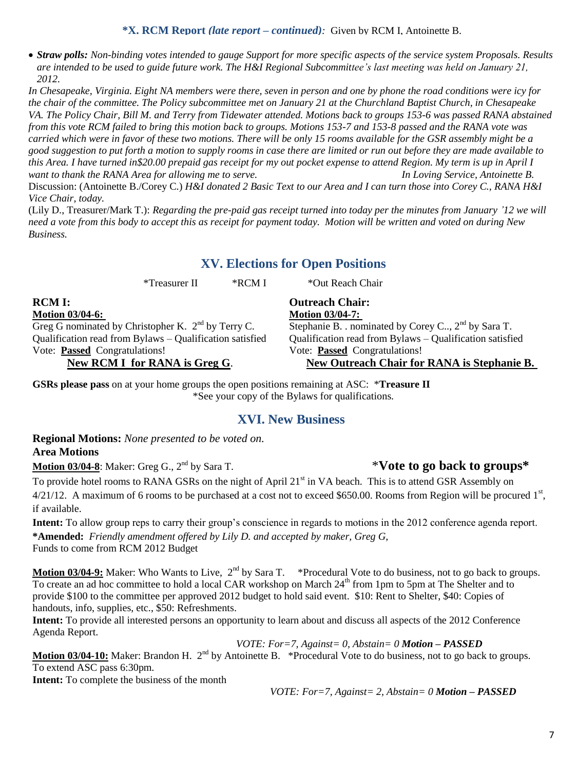**\*X. RCM Report** *(late report – continued):* Given by RCM I, Antoinette B.

 *Straw polls: Non-binding votes intended to gauge Support for more specific aspects of the service system Proposals. Results are intended to be used to guide future work. The H&I Regional Subcommittee"s last meeting was held on January 21, 2012.*

*In Chesapeake, Virginia. Eight NA members were there, seven in person and one by phone the road conditions were icy for the chair of the committee. The Policy subcommittee met on January 21 at the Churchland Baptist Church, in Chesapeake VA. The Policy Chair, Bill M. and Terry from Tidewater attended. Motions back to groups 153-6 was passed RANA abstained from this vote RCM failed to bring this motion back to groups. Motions 153-7 and 153-8 passed and the RANA vote was carried which were in favor of these two motions. There will be only 15 rooms available for the GSR assembly might be a good suggestion to put forth a motion to supply rooms in case there are limited or run out before they are made available to this Area. I have turned in\$20.00 prepaid gas receipt for my out pocket expense to attend Region. My term is up in April I want to thank the RANA Area for allowing me to serve. In Loving Service, Antoinette B.*

Discussion: (Antoinette B./Corey C.) *H&I donated 2 Basic Text to our Area and I can turn those into Corey C., RANA H&I Vice Chair, today.* 

(Lily D., Treasurer/Mark T.): *Regarding the pre-paid gas receipt turned into today per the minutes from January "12 we will need a vote from this body to accept this as receipt for payment today. Motion will be written and voted on during New Business.*

### **XV. Elections for Open Positions**

\*Treasurer II \*RCM I \*Out Reach Chair

**Outreach Chair: Motion 03/04-7:** 

**RCM I: Motion 03/04-6:**  Greg G nominated by Christopher K.  $2<sup>nd</sup>$  by Terry C. Qualification read from Bylaws – Qualification satisfied Vote: **Passed** Congratulations!

### **New RCM I for RANA is Greg G**.

# Qualification read from Bylaws – Qualification satisfied Vote: **Passed** Congratulations! **New Outreach Chair for RANA is Stephanie B.**

Stephanie B. . nominated by Corey C.., 2<sup>nd</sup> by Sara T.

**GSRs please pass** on at your home groups the open positions remaining at ASC: \***Treasure II** \*See your copy of the Bylaws for qualifications.

### **XVI. New Business**

**Regional Motions:** *None presented to be voted on.* **Area Motions**

**Motion 03/04-8**: Maker: Greg G., 2<sup>nd</sup> by Sara T.

To provide hotel rooms to RANA GSRs on the night of April 21<sup>st</sup> in VA beach. This is to attend GSR Assembly on  $4/21/12$ . A maximum of 6 rooms to be purchased at a cost not to exceed \$650.00. Rooms from Region will be procured  $1<sup>st</sup>$ , if available.

**Intent:** To allow group reps to carry their group"s conscience in regards to motions in the 2012 conference agenda report. **\*Amended:** *Friendly amendment offered by Lily D. and accepted by maker, Greg G,* Funds to come from RCM 2012 Budget

Motion 03/04-9: Maker: Who Wants to Live, 2<sup>nd</sup> by Sara T. \*Procedural Vote to do business, not to go back to groups. To create an ad hoc committee to hold a local CAR workshop on March 24<sup>th</sup> from 1pm to 5pm at The Shelter and to provide \$100 to the committee per approved 2012 budget to hold said event. \$10: Rent to Shelter, \$40: Copies of handouts, info, supplies, etc., \$50: Refreshments.

**Intent:** To provide all interested persons an opportunity to learn about and discuss all aspects of the 2012 Conference Agenda Report.

*VOTE: For=7, Against= 0, Abstain= 0 Motion – PASSED*

Motion 03/04-10: Maker: Brandon H. 2<sup>nd</sup> by Antoinette B. \*Procedural Vote to do business, not to go back to groups. To extend ASC pass 6:30pm.

**Intent:** To complete the business of the month

*VOTE: For=7, Against= 2, Abstain= 0 Motion – PASSED*

# nd by Sara T. \***Vote to go back to groups\***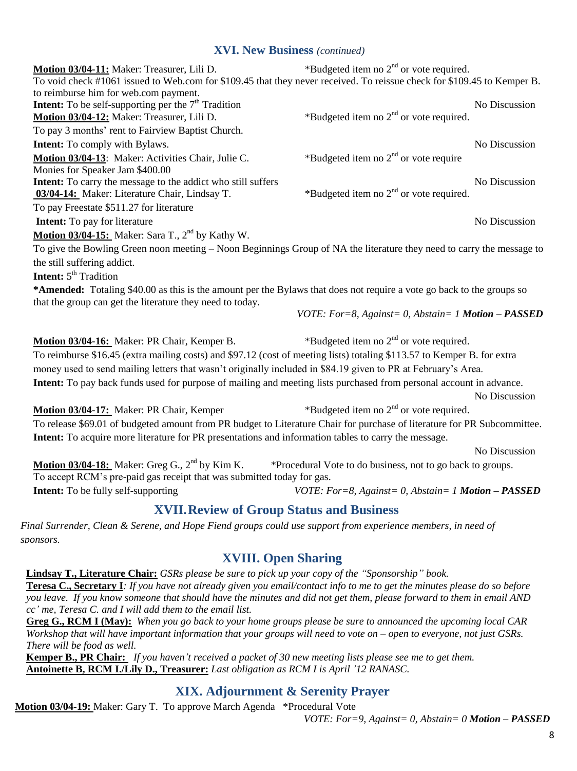### **XVI. New Business** *(continued)*

| Motion 03/04-11: Maker: Treasurer, Lili D.                                                                                           | *Budgeted item no $2nd$ or vote required.                       |               |
|--------------------------------------------------------------------------------------------------------------------------------------|-----------------------------------------------------------------|---------------|
| To void check #1061 issued to Web.com for \$109.45 that they never received. To reissue check for \$109.45 to Kemper B.              |                                                                 |               |
| to reimburse him for web.com payment.<br><b>Intent:</b> To be self-supporting per the $7th$ Tradition                                |                                                                 | No Discussion |
| Motion 03/04-12: Maker: Treasurer, Lili D.                                                                                           | *Budgeted item no $2nd$ or vote required.                       |               |
| To pay 3 months' rent to Fairview Baptist Church.                                                                                    |                                                                 |               |
|                                                                                                                                      |                                                                 | No Discussion |
| <b>Intent:</b> To comply with Bylaws.                                                                                                |                                                                 |               |
| Motion 03/04-13: Maker: Activities Chair, Julie C.<br>Monies for Speaker Jam \$400.00                                                | *Budgeted item no $2nd$ or vote require                         |               |
| Intent: To carry the message to the addict who still suffers                                                                         |                                                                 | No Discussion |
| 03/04-14: Maker: Literature Chair, Lindsay T.                                                                                        | *Budgeted item no $2nd$ or vote required.                       |               |
| To pay Freestate \$511.27 for literature                                                                                             |                                                                 |               |
| <b>Intent:</b> To pay for literature                                                                                                 |                                                                 | No Discussion |
| Motion 03/04-15: Maker: Sara T., 2 <sup>nd</sup> by Kathy W.                                                                         |                                                                 |               |
|                                                                                                                                      |                                                                 |               |
| To give the Bowling Green noon meeting – Noon Beginnings Group of NA the literature they need to carry the message to                |                                                                 |               |
| the still suffering addict.                                                                                                          |                                                                 |               |
| <b>Intent:</b> 5 <sup>th</sup> Tradition                                                                                             |                                                                 |               |
| *Amended: Totaling \$40.00 as this is the amount per the Bylaws that does not require a vote go back to the groups so                |                                                                 |               |
| that the group can get the literature they need to today.                                                                            |                                                                 |               |
|                                                                                                                                      | <i>VOTE: For=8, Against=0, Abstain=1 <b>Motion</b> - PASSED</i> |               |
| Motion 03/04-16: Maker: PR Chair, Kemper B.                                                                                          | *Budgeted item no $2nd$ or vote required.                       |               |
| To reimburse \$16.45 (extra mailing costs) and \$97.12 (cost of meeting lists) totaling \$113.57 to Kemper B. for extra              |                                                                 |               |
| money used to send mailing letters that wasn't originally included in \$84.19 given to PR at February's Area.                        |                                                                 |               |
| Intent: To pay back funds used for purpose of mailing and meeting lists purchased from personal account in advance.                  |                                                                 |               |
|                                                                                                                                      |                                                                 | No Discussion |
| Motion 03/04-17: Maker: PR Chair, Kemper                                                                                             | *Budgeted item no $2nd$ or vote required.                       |               |
| To release \$69.01 of budgeted amount from PR budget to Literature Chair for purchase of literature for PR Subcommittee.             |                                                                 |               |
| Intent: To acquire more literature for PR presentations and information tables to carry the message.                                 |                                                                 |               |
|                                                                                                                                      |                                                                 |               |
|                                                                                                                                      |                                                                 | No Discussion |
| <b>Motion 03/04-18:</b> Maker: Greg G., $2^{nd}$ by Kim K.<br>To accept RCM's pre-paid gas receipt that was submitted today for gas. | *Procedural Vote to do business, not to go back to groups.      |               |
| <b>Intent:</b> To be fully self-supporting                                                                                           | VOTE: For=8, Against= 0, Abstain= 1 <b>Motion - PASSED</b>      |               |
|                                                                                                                                      |                                                                 |               |
| <b>XVII. Review of Group Status and Business</b>                                                                                     |                                                                 |               |
| Final Surrender, Clean & Serene, and Hope Fiend groups could use support from experience members, in need of                         |                                                                 |               |
| sponsors.                                                                                                                            |                                                                 |               |
| <b>XVIII. Open Sharing</b>                                                                                                           |                                                                 |               |
| <b>Lindsay T., Literature Chair:</b> GSRs please be sure to pick up your copy of the "Sponsorship" book.                             |                                                                 |               |
| <b>Teresa C., Secretary I</b> : If you have not already given you email/contact info to me to get the minutes please do so before    |                                                                 |               |
| you leave. If you know someone that should have the minutes and did not get them, please forward to them in email AND                |                                                                 |               |
| cc' me, Teresa C. and I will add them to the email list.                                                                             |                                                                 |               |
| Greg G., RCM I (May): When you go back to your home groups please be sure to announced the upcoming local CAR                        |                                                                 |               |
| Workshop that will have important information that your groups will need to vote on $-$ open to everyone, not just GSRs.             |                                                                 |               |
| There will be food as well.                                                                                                          |                                                                 |               |

**Kemper B., PR Chair:** *If you haven"t received a packet of 30 new meeting lists please see me to get them.* **Antoinette B, RCM I./Lily D., Treasurer:** *Last obligation as RCM I is April "12 RANASC.*

### **XIX. Adjournment & Serenity Prayer**

**Motion 03/04-19:** Maker: Gary T. To approve March Agenda \*Procedural Vote

*VOTE: For=9, Against= 0, Abstain= 0 Motion – PASSED*